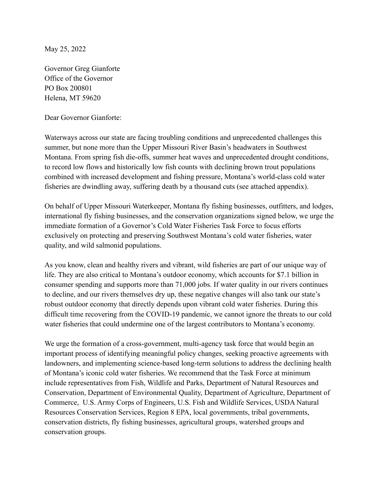May 25, 2022

Governor Greg Gianforte Office of the Governor PO Box 200801 Helena, MT 59620

Dear Governor Gianforte:

Waterways across our state are facing troubling conditions and unprecedented challenges this summer, but none more than the Upper Missouri River Basin's headwaters in Southwest Montana. From spring fish die-offs, summer heat waves and unprecedented drought conditions, to record low flows and historically low fish counts with declining brown trout populations combined with increased development and fishing pressure, Montana's world-class cold water fisheries are dwindling away, suffering death by a thousand cuts (see attached appendix).

On behalf of Upper Missouri Waterkeeper, Montana fly fishing businesses, outfitters, and lodges, international fly fishing businesses, and the conservation organizations signed below, we urge the immediate formation of a Governor's Cold Water Fisheries Task Force to focus efforts exclusively on protecting and preserving Southwest Montana's cold water fisheries, water quality, and wild salmonid populations.

As you know, clean and healthy rivers and vibrant, wild fisheries are part of our unique way of life. They are also critical to Montana's outdoor economy, which accounts for \$7.1 billion in consumer spending and supports more than 71,000 jobs. If water quality in our rivers continues to decline, and our rivers themselves dry up, these negative changes will also tank our state's robust outdoor economy that directly depends upon vibrant cold water fisheries. During this difficult time recovering from the COVID-19 pandemic, we cannot ignore the threats to our cold water fisheries that could undermine one of the largest contributors to Montana's economy.

We urge the formation of a cross-government, multi-agency task force that would begin an important process of identifying meaningful policy changes, seeking proactive agreements with landowners, and implementing science-based long-term solutions to address the declining health of Montana's iconic cold water fisheries. We recommend that the Task Force at minimum include representatives from Fish, Wildlife and Parks, Department of Natural Resources and Conservation, Department of Environmental Quality, Department of Agriculture, Department of Commerce, U.S. Army Corps of Engineers, U.S. Fish and Wildlife Services, USDA Natural Resources Conservation Services, Region 8 EPA, local governments, tribal governments, conservation districts, fly fishing businesses, agricultural groups, watershed groups and conservation groups.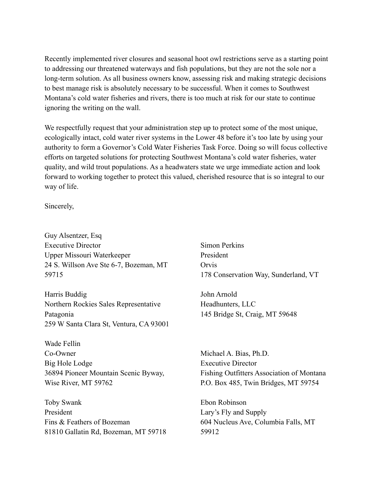Recently implemented river closures and seasonal hoot owl restrictions serve as a starting point to addressing our threatened waterways and fish populations, but they are not the sole nor a long-term solution. As all business owners know, assessing risk and making strategic decisions to best manage risk is absolutely necessary to be successful. When it comes to Southwest Montana's cold water fisheries and rivers, there is too much at risk for our state to continue ignoring the writing on the wall.

We respectfully request that your administration step up to protect some of the most unique, ecologically intact, cold water river systems in the Lower 48 before it's too late by using your authority to form a Governor's Cold Water Fisheries Task Force. Doing so will focus collective efforts on targeted solutions for protecting Southwest Montana's cold water fisheries, water quality, and wild trout populations. As a headwaters state we urge immediate action and look forward to working together to protect this valued, cherished resource that is so integral to our way of life.

Sincerely,

Guy Alsentzer, Esq Executive Director Upper Missouri Waterkeeper 24 S. Willson Ave Ste 6-7, Bozeman, MT 59715

Harris Buddig Northern Rockies Sales Representative Patagonia 259 W Santa Clara St, Ventura, CA 93001

Wade Fellin Co-Owner Big Hole Lodge 36894 Pioneer Mountain Scenic Byway, Wise River, MT 59762

Toby Swank President Fins & Feathers of Bozeman 81810 Gallatin Rd, Bozeman, MT 59718 Simon Perkins President Orvis 178 Conservation Way, Sunderland, VT

John Arnold Headhunters, LLC 145 Bridge St, Craig, MT 59648

Michael A. Bias, Ph.D. Executive Director Fishing Outfitters Association of Montana P.O. Box 485, Twin Bridges, MT 59754

Ebon Robinson Lary's Fly and Supply 604 Nucleus Ave, Columbia Falls, MT 59912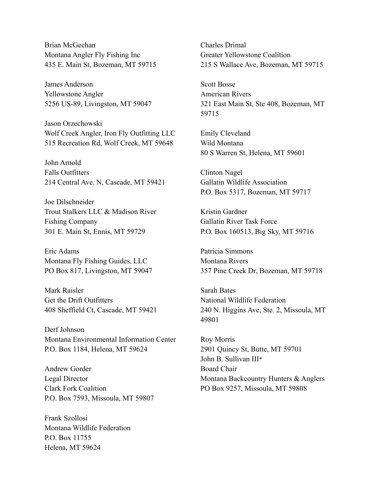Brian McGeehan Montana Angler Fly Fishing Inc 435 E. Main St, Bozeman, MT 59715

James Anderson Yellowstone Angler 5256 US-89, Livingston, MT 59047

Jason Orzechowski Wolf Creek Angler, Iron Fly Outfitting LLC 515 Recreation Rd, Wolf Creek, MT 59648

John Arnold Falls Outfitters 214 Central Ave. N, Cascade, MT 59421

Joe Dilschneider Trout Stalkers LLC & Madison River Fishing Company 301 E. Main St, Ennis, MT 59729

Eric Adams Montana Fly Fishing Guides, LLC PO Box 817, Livingston, MT 59047

Mark Raisler Get the Drift Outfitters 408 Sheffield Ct, Cascade, MT 59421

Derf Johnson Montana Environmental Information Center P.O. Box 1184, Helena, MT 59624

Andrew Gorder Legal Director Clark Fork Coalition P.O. Box 7593, Missoula, MT 59807

Frank Szollosi Montana Wildlife Federation P.O. Box 11755 Helena, MT 59624

Charles Drimal Greater Yellowstone Coalition 215 S Wallace Ave, Bozeman, MT 59715

Scott Bosse American Rivers 321 East Main St, Ste 408, Bozeman, MT 59715

Emily Cleveland Wild Montana 80 S Warren St, Helena, MT 59601

Clinton Nagel Gallatin Wildlife Association P.O. Box 5317, Bozeman, MT 59717

Kristin Gardner Gallatin River Task Force P.O. Box 160513, Big Sky, MT 59716

Patricia Simmons Montana Rivers 357 Pine Creek Dr, Bozeman, MT 59718

Sarah Bates National Wildlife Federation 240 N. Higgins Ave, Ste. 2, Missoula, MT 49801

Roy Morris 2901 Quincy St, Butte, MT 59701 John B. Sullivan III\* Board Chair Montana Backcountry Hunters & Anglers PO Box 9257, Missoula, MT 59808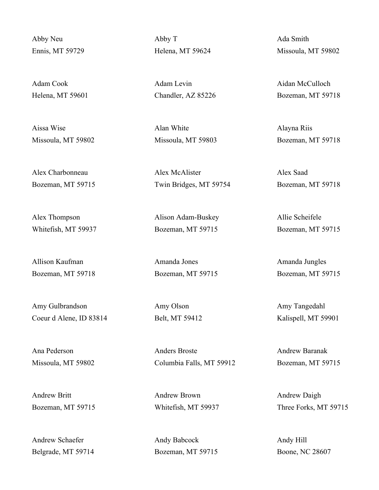Abby Neu Ennis, MT 59729

Adam Cook Helena, MT 59601

Aissa Wise Missoula, MT 59802

Alex Charbonneau Bozeman, MT 59715

Alex Thompson Whitefish, MT 59937

Allison Kaufman Bozeman, MT 59718

Amy Gulbrandson Coeur d Alene, ID 83814

Ana Pederson Missoula, MT 59802

Andrew Britt Bozeman, MT 59715

Andrew Schaefer Belgrade, MT 59714 Abby T Helena, MT 59624

Adam Levin Chandler, AZ 85226

Alan White Missoula, MT 59803

Alex McAlister Twin Bridges, MT 59754

Alison Adam-Buskey Bozeman, MT 59715

Amanda Jones Bozeman, MT 59715

Amy Olson Belt, MT 59412

Anders Broste Columbia Falls, MT 59912

Andrew Brown Whitefish, MT 59937

Andy Babcock Bozeman, MT 59715 Ada Smith Missoula, MT 59802

Aidan McCulloch Bozeman, MT 59718

Alayna Riis Bozeman, MT 59718

Alex Saad Bozeman, MT 59718

Allie Scheifele Bozeman, MT 59715

Amanda Jungles Bozeman, MT 59715

Amy Tangedahl Kalispell, MT 59901

Andrew Baranak Bozeman, MT 59715

Andrew Daigh Three Forks, MT 59715

Andy Hill Boone, NC 28607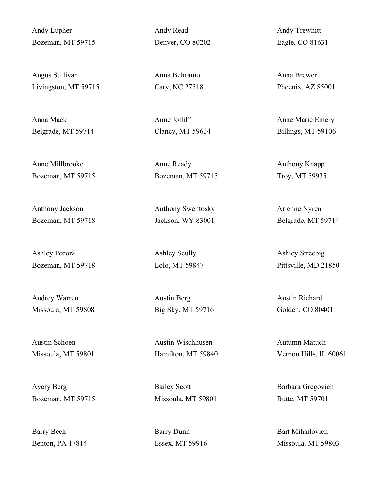Andy Lupher Bozeman, MT 59715

Angus Sullivan Livingston, MT 59715

Anna Mack Belgrade, MT 59714

Anne Millbrooke Bozeman, MT 59715

Anthony Jackson Bozeman, MT 59718

Ashley Pecora Bozeman, MT 59718

Audrey Warren Missoula, MT 59808

Austin Schoen Missoula, MT 59801

Avery Berg Bozeman, MT 59715

Barry Beck Benton, PA 17814 Andy Read Denver, CO 80202

Anna Beltramo Cary, NC 27518

Anne Jolliff Clancy, MT 59634

Anne Ready Bozeman, MT 59715

Anthony Swentosky Jackson, WY 83001

Ashley Scully Lolo, MT 59847

Austin Berg Big Sky, MT 59716

Austin Wischhusen Hamilton, MT 59840

Bailey Scott Missoula, MT 59801

Barry Dunn Essex, MT 59916 Andy Trewhitt Eagle, CO 81631

Anna Brewer Phoenix, AZ 85001

Anne Marie Emery Billings, MT 59106

Anthony Knapp Troy, MT 59935

Arienne Nyren Belgrade, MT 59714

Ashley Streebig Pittsville, MD 21850

Austin Richard Golden, CO 80401

Autumn Matuch Vernon Hills, IL 60061

Barbara Gregovich Butte, MT 59701

Bart Mihailovich Missoula, MT 59803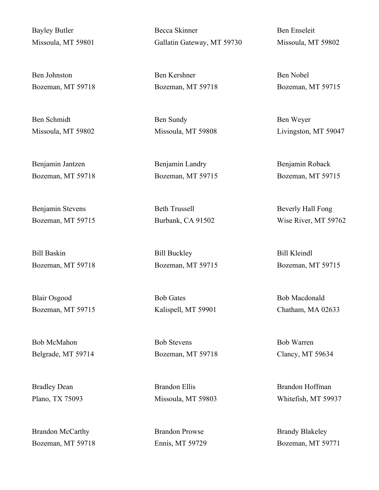Bayley Butler Missoula, MT 59801

Ben Johnston Bozeman, MT 59718

Ben Schmidt Missoula, MT 59802

Benjamin Jantzen Bozeman, MT 59718

Benjamin Stevens Bozeman, MT 59715

Bill Baskin Bozeman, MT 59718

Blair Osgood Bozeman, MT 59715

Bob McMahon Belgrade, MT 59714

Bradley Dean Plano, TX 75093

Brandon McCarthy Bozeman, MT 59718 Becca Skinner Gallatin Gateway, MT 59730

Ben Kershner Bozeman, MT 59718

Ben Sundy Missoula, MT 59808

Benjamin Landry Bozeman, MT 59715

Beth Trussell Burbank, CA 91502

Bill Buckley Bozeman, MT 59715

Bob Gates Kalispell, MT 59901

Bob Stevens Bozeman, MT 59718

Brandon Ellis Missoula, MT 59803

Brandon Prowse Ennis, MT 59729 Ben Enseleit Missoula, MT 59802

Ben Nobel Bozeman, MT 59715

Ben Weyer Livingston, MT 59047

Benjamin Roback Bozeman, MT 59715

Beverly Hall Fong Wise River, MT 59762

Bill Kleindl Bozeman, MT 59715

Bob Macdonald Chatham, MA 02633

Bob Warren Clancy, MT 59634

Brandon Hoffman Whitefish, MT 59937

Brandy Blakeley Bozeman, MT 59771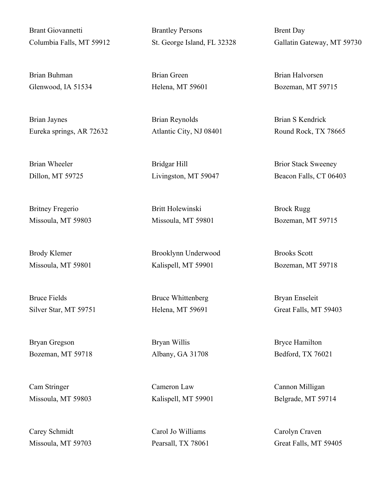Brant Giovannetti Columbia Falls, MT 59912

Brian Buhman Glenwood, IA 51534

Brian Jaynes Eureka springs, AR 72632

Brian Wheeler Dillon, MT 59725

Britney Fregerio Missoula, MT 59803

Brody Klemer Missoula, MT 59801

Bruce Fields Silver Star, MT 59751

Bryan Gregson Bozeman, MT 59718

Cam Stringer Missoula, MT 59803

Carey Schmidt Missoula, MT 59703 Brantley Persons St. George Island, FL 32328

Brian Green Helena, MT 59601

Brian Reynolds Atlantic City, NJ 08401

Bridgar Hill Livingston, MT 59047

Britt Holewinski Missoula, MT 59801

Brooklynn Underwood Kalispell, MT 59901

Bruce Whittenberg Helena, MT 59691

Bryan Willis Albany, GA 31708

Cameron Law Kalispell, MT 59901

Carol Jo Williams Pearsall, TX 78061 Brent Day Gallatin Gateway, MT 59730

Brian Halvorsen Bozeman, MT 59715

Brian S Kendrick Round Rock, TX 78665

Brior Stack Sweeney Beacon Falls, CT 06403

Brock Rugg Bozeman, MT 59715

Brooks Scott Bozeman, MT 59718

Bryan Enseleit Great Falls, MT 59403

Bryce Hamilton Bedford, TX 76021

Cannon Milligan Belgrade, MT 59714

Carolyn Craven Great Falls, MT 59405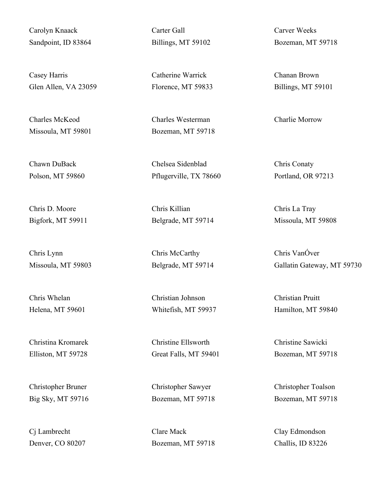Carolyn Knaack Sandpoint, ID 83864

Casey Harris Glen Allen, VA 23059

Charles McKeod Missoula, MT 59801

Chawn DuBack Polson, MT 59860

Chris D. Moore Bigfork, MT 59911

Chris Lynn Missoula, MT 59803

Chris Whelan Helena, MT 59601

Christina Kromarek Elliston, MT 59728

Christopher Bruner Big Sky, MT 59716

Cj Lambrecht Denver, CO 80207 Carter Gall Billings, MT 59102

Catherine Warrick Florence, MT 59833

Charles Westerman Bozeman, MT 59718

Chelsea Sidenblad Pflugerville, TX 78660

Chris Killian Belgrade, MT 59714

Chris McCarthy Belgrade, MT 59714

Christian Johnson Whitefish, MT 59937

Christine Ellsworth Great Falls, MT 59401

Christopher Sawyer Bozeman, MT 59718

Clare Mack Bozeman, MT 59718 Carver Weeks Bozeman, MT 59718

Chanan Brown Billings, MT 59101

Charlie Morrow

Chris Conaty Portland, OR 97213

Chris La Tray Missoula, MT 59808

Chris VanÓver Gallatin Gateway, MT 59730

Christian Pruitt Hamilton, MT 59840

Christine Sawicki Bozeman, MT 59718

Christopher Toalson Bozeman, MT 59718

Clay Edmondson Challis, ID 83226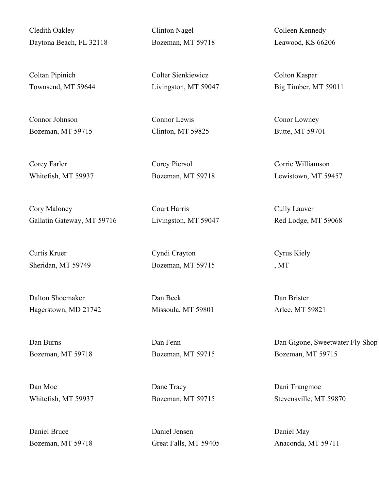Cledith Oakley Daytona Beach, FL 32118

Coltan Pipinich Townsend, MT 59644

Connor Johnson Bozeman, MT 59715

Corey Farler Whitefish, MT 59937

Cory Maloney Gallatin Gateway, MT 59716

Curtis Kruer Sheridan, MT 59749

Dalton Shoemaker Hagerstown, MD 21742

Dan Burns Bozeman, MT 59718

Dan Moe Whitefish, MT 59937

Daniel Bruce Bozeman, MT 59718 Clinton Nagel Bozeman, MT 59718

Colter Sienkiewicz Livingston, MT 59047

Connor Lewis Clinton, MT 59825

Corey Piersol Bozeman, MT 59718

Court Harris Livingston, MT 59047

Cyndi Crayton Bozeman, MT 59715

Dan Beck Missoula, MT 59801

Dan Fenn Bozeman, MT 59715

Dane Tracy Bozeman, MT 59715

Daniel Jensen Great Falls, MT 59405 Colleen Kennedy Leawood, KS 66206

Colton Kaspar Big Timber, MT 59011

Conor Lowney Butte, MT 59701

Corrie Williamson Lewistown, MT 59457

Cully Lauver Red Lodge, MT 59068

Cyrus Kiely , MT

Dan Brister Arlee, MT 59821

Dan Gigone, Sweetwater Fly Shop Bozeman, MT 59715

Dani Trangmoe Stevensville, MT 59870

Daniel May Anaconda, MT 59711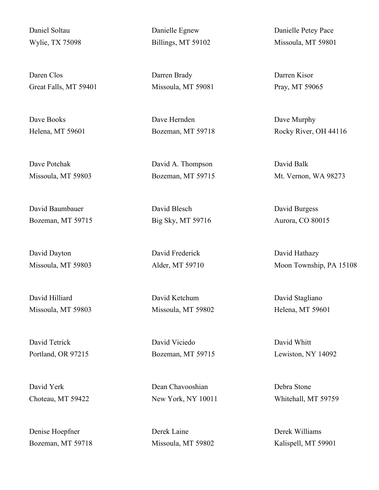Daniel Soltau Wylie, TX 75098

Daren Clos Great Falls, MT 59401

Dave Books Helena, MT 59601

Dave Potchak Missoula, MT 59803

David Baumbauer Bozeman, MT 59715

David Dayton Missoula, MT 59803

David Hilliard Missoula, MT 59803

David Tetrick Portland, OR 97215

David Yerk Choteau, MT 59422

Denise Hoepfner Bozeman, MT 59718 Danielle Egnew Billings, MT 59102

Darren Brady Missoula, MT 59081

Dave Hernden Bozeman, MT 59718

David A. Thompson Bozeman, MT 59715

David Blesch Big Sky, MT 59716

David Frederick Alder, MT 59710

David Ketchum Missoula, MT 59802

David Viciedo Bozeman, MT 59715

Dean Chavooshian New York, NY 10011

Derek Laine Missoula, MT 59802 Danielle Petey Pace Missoula, MT 59801

Darren Kisor Pray, MT 59065

Dave Murphy Rocky River, OH 44116

David Balk Mt. Vernon, WA 98273

David Burgess Aurora, CO 80015

David Hathazy Moon Township, PA 15108

David Stagliano Helena, MT 59601

David Whitt Lewiston, NY 14092

Debra Stone Whitehall, MT 59759

Derek Williams Kalispell, MT 59901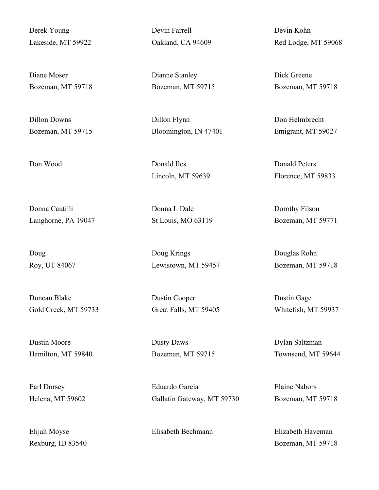Derek Young Lakeside, MT 59922

Diane Moser Bozeman, MT 59718

Dillon Downs Bozeman, MT 59715

Donna Cautilli Langhorne, PA 19047

Doug Roy, UT 84067

Duncan Blake Gold Creek, MT 59733

Dustin Moore Hamilton, MT 59840

Earl Dorsey Helena, MT 59602

Elijah Moyse Rexburg, ID 83540 Devin Farrell Oakland, CA 94609

Dianne Stanley Bozeman, MT 59715

Dillon Flynn Bloomington, IN 47401

Don Wood Donald Iles Lincoln, MT 59639

> Donna L Dale St Louis, MO 63119

Doug Krings Lewistown, MT 59457

Dustin Cooper Great Falls, MT 59405

Dusty Daws Bozeman, MT 59715

Eduardo Garcia Gallatin Gateway, MT 59730

Elisabeth Bechmann Elizabeth Haveman

Devin Kohn Red Lodge, MT 59068

Dick Greene Bozeman, MT 59718

Don Helmbrecht Emigrant, MT 59027

Donald Peters Florence, MT 59833

Dorothy Filson Bozeman, MT 59771

Douglas Rohn Bozeman, MT 59718

Dustin Gage Whitefish, MT 59937

Dylan Saltzman Townsend, MT 59644

Elaine Nabors Bozeman, MT 59718

Bozeman, MT 59718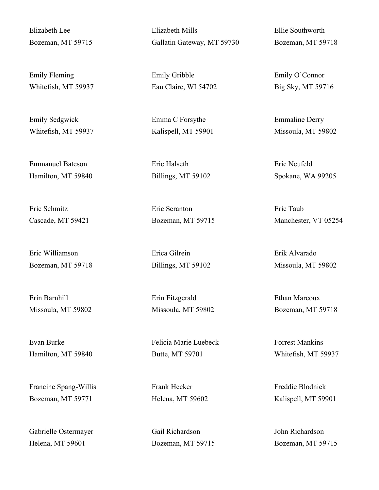Elizabeth Lee Bozeman, MT 59715

Emily Fleming Whitefish, MT 59937

Emily Sedgwick Whitefish, MT 59937

Emmanuel Bateson Hamilton, MT 59840

Eric Schmitz Cascade, MT 59421

Eric Williamson Bozeman, MT 59718

Erin Barnhill Missoula, MT 59802

Evan Burke Hamilton, MT 59840

Francine Spang-Willis Bozeman, MT 59771

Gabrielle Ostermayer Helena, MT 59601

Elizabeth Mills Gallatin Gateway, MT 59730

Emily Gribble Eau Claire, WI 54702

Emma C Forsythe Kalispell, MT 59901

Eric Halseth Billings, MT 59102

Eric Scranton Bozeman, MT 59715

Erica Gilrein Billings, MT 59102

Erin Fitzgerald Missoula, MT 59802

Felicia Marie Luebeck Butte, MT 59701

Frank Hecker Helena, MT 59602

Gail Richardson Bozeman, MT 59715 Ellie Southworth Bozeman, MT 59718

Emily O'Connor Big Sky, MT 59716

Emmaline Derry Missoula, MT 59802

Eric Neufeld Spokane, WA 99205

Eric Taub Manchester, VT 05254

Erik Alvarado Missoula, MT 59802

Ethan Marcoux Bozeman, MT 59718

Forrest Mankins Whitefish, MT 59937

Freddie Blodnick Kalispell, MT 59901

John Richardson Bozeman, MT 59715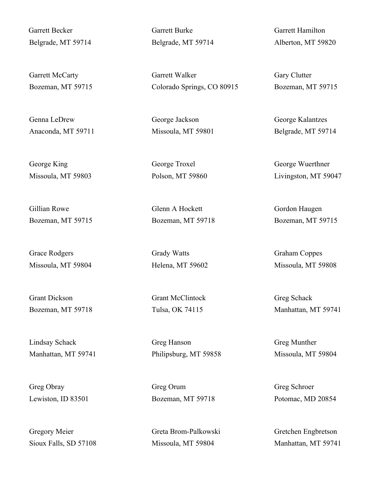Garrett Becker Belgrade, MT 59714

Garrett McCarty Bozeman, MT 59715

Genna LeDrew Anaconda, MT 59711

George King Missoula, MT 59803

Gillian Rowe Bozeman, MT 59715

Grace Rodgers Missoula, MT 59804

Grant Dickson Bozeman, MT 59718

Lindsay Schack Manhattan, MT 59741

Greg Obray Lewiston, ID 83501

Gregory Meier Sioux Falls, SD 57108 Garrett Burke Belgrade, MT 59714

Garrett Walker Colorado Springs, CO 80915

George Jackson Missoula, MT 59801

George Troxel Polson, MT 59860

Glenn A Hockett Bozeman, MT 59718

Grady Watts Helena, MT 59602

Grant McClintock Tulsa, OK 74115

Greg Hanson Philipsburg, MT 59858

Greg Orum Bozeman, MT 59718

Greta Brom-Palkowski Missoula, MT 59804

Garrett Hamilton Alberton, MT 59820

Gary Clutter Bozeman, MT 59715

George Kalantzes Belgrade, MT 59714

George Wuerthner Livingston, MT 59047

Gordon Haugen Bozeman, MT 59715

Graham Coppes Missoula, MT 59808

Greg Schack Manhattan, MT 59741

Greg Munther Missoula, MT 59804

Greg Schroer Potomac, MD 20854

Gretchen Engbretson Manhattan, MT 59741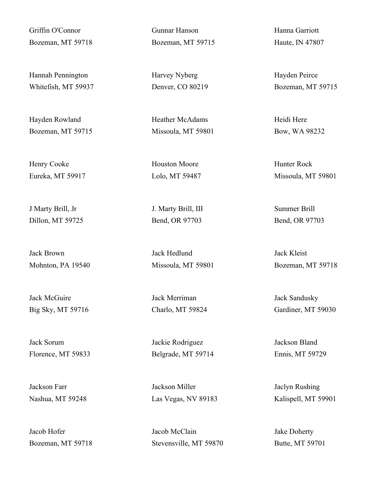Griffin O'Connor Bozeman, MT 59718

Hannah Pennington Whitefish, MT 59937

Hayden Rowland Bozeman, MT 59715

Henry Cooke Eureka, MT 59917

J Marty Brill, Jr Dillon, MT 59725

Jack Brown Mohnton, PA 19540

Jack McGuire Big Sky, MT 59716

Jack Sorum Florence, MT 59833

Jackson Farr Nashua, MT 59248

Jacob Hofer Bozeman, MT 59718 Gunnar Hanson Bozeman, MT 59715

Harvey Nyberg Denver, CO 80219

Heather McAdams Missoula, MT 59801

Houston Moore Lolo, MT 59487

J. Marty Brill, III Bend, OR 97703

Jack Hedlund Missoula, MT 59801

Jack Merriman Charlo, MT 59824

Jackie Rodriguez Belgrade, MT 59714

Jackson Miller Las Vegas, NV 89183

Jacob McClain Stevensville, MT 59870 Hanna Garriott Haute, IN 47807

Hayden Peirce Bozeman, MT 59715

Heidi Here Bow, WA 98232

Hunter Rock Missoula, MT 59801

Summer Brill Bend, OR 97703

Jack Kleist Bozeman, MT 59718

Jack Sandusky Gardiner, MT 59030

Jackson Bland Ennis, MT 59729

Jaclyn Rushing Kalispell, MT 59901

Jake Doherty Butte, MT 59701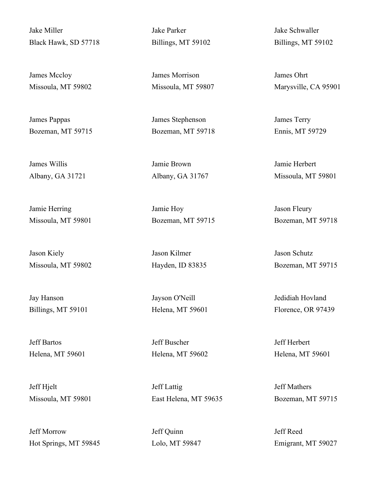Jake Miller Black Hawk, SD 57718

James Mccloy Missoula, MT 59802

James Pappas Bozeman, MT 59715

James Willis Albany, GA 31721

Jamie Herring Missoula, MT 59801

Jason Kiely Missoula, MT 59802

Jay Hanson Billings, MT 59101

Jeff Bartos Helena, MT 59601

Jeff Hjelt Missoula, MT 59801

Jeff Morrow Hot Springs, MT 59845 Jake Parker Billings, MT 59102

James Morrison Missoula, MT 59807

James Stephenson Bozeman, MT 59718

Jamie Brown Albany, GA 31767

Jamie Hoy Bozeman, MT 59715

Jason Kilmer Hayden, ID 83835

Jayson O'Neill Helena, MT 59601

Jeff Buscher Helena, MT 59602

Jeff Lattig East Helena, MT 59635

Jeff Quinn Lolo, MT 59847 Jake Schwaller Billings, MT 59102

James Ohrt Marysville, CA 95901

James Terry Ennis, MT 59729

Jamie Herbert Missoula, MT 59801

Jason Fleury Bozeman, MT 59718

Jason Schutz Bozeman, MT 59715

Jedidiah Hovland Florence, OR 97439

Jeff Herbert Helena, MT 59601

Jeff Mathers Bozeman, MT 59715

Jeff Reed Emigrant, MT 59027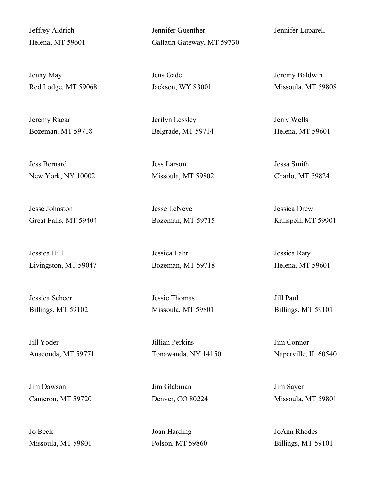Jeffrey Aldrich Helena, MT 59601

Jenny May Red Lodge, MT 59068

Jeremy Ragar Bozeman, MT 59718

Jess Bernard New York, NY 10002

Jesse Johnston Great Falls, MT 59404

Jessica Hill Livingston, MT 59047

Jessica Scheer Billings, MT 59102

Jill Yoder Anaconda, MT 59771

Jim Dawson Cameron, MT 59720

Jo Beck Missoula, MT 59801 Jennifer Guenther Gallatin Gateway, MT 59730

Jens Gade Jackson, WY 83001

Jerilyn Lessley Belgrade, MT 59714

Jess Larson Missoula, MT 59802

Jesse LeNeve Bozeman, MT 59715

Jessica Lahr Bozeman, MT 59718

Jessie Thomas Missoula, MT 59801

Jillian Perkins Tonawanda, NY 14150

Jim Glabman Denver, CO 80224

Joan Harding Polson, MT 59860 Jennifer Luparell

Jeremy Baldwin Missoula, MT 59808

Jerry Wells Helena, MT 59601

Jessa Smith Charlo, MT 59824

Jessica Drew Kalispell, MT 59901

Jessica Raty Helena, MT 59601

Jill Paul Billings, MT 59101

Jim Connor Naperville, IL 60540

Jim Sayer Missoula, MT 59801

JoAnn Rhodes Billings, MT 59101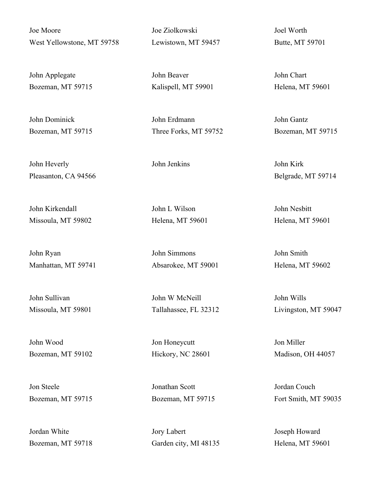Joe Moore West Yellowstone, MT 59758

John Applegate Bozeman, MT 59715

John Dominick Bozeman, MT 59715

John Heverly Pleasanton, CA 94566

John Kirkendall Missoula, MT 59802

John Ryan Manhattan, MT 59741

John Sullivan Missoula, MT 59801

John Wood Bozeman, MT 59102

Jon Steele Bozeman, MT 59715

Jordan White Bozeman, MT 59718 Joe Ziolkowski Lewistown, MT 59457

John Beaver Kalispell, MT 59901

John Erdmann Three Forks, MT 59752

John Jenkins John Kirk

John L Wilson Helena, MT 59601

John Simmons Absarokee, MT 59001

John W McNeill Tallahassee, FL 32312

Jon Honeycutt Hickory, NC 28601

Jonathan Scott Bozeman, MT 59715

Jory Labert Garden city, MI 48135 Joel Worth Butte, MT 59701

John Chart Helena, MT 59601

John Gantz Bozeman, MT 59715

Belgrade, MT 59714

John Nesbitt Helena, MT 59601

John Smith Helena, MT 59602

John Wills Livingston, MT 59047

Jon Miller Madison, OH 44057

Jordan Couch Fort Smith, MT 59035

Joseph Howard Helena, MT 59601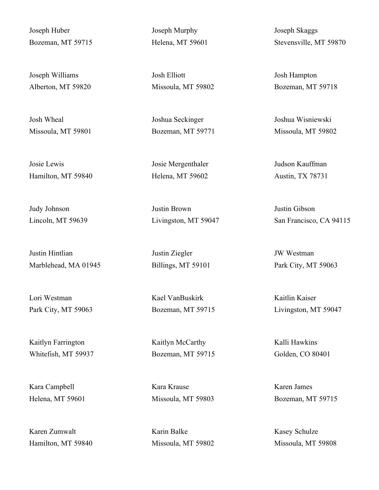Joseph Huber Bozeman, MT 59715

Joseph Williams Alberton, MT 59820

Josh Wheal Missoula, MT 59801

Josie Lewis Hamilton, MT 59840

Judy Johnson Lincoln, MT 59639

Justin Hintlian Marblehead, MA 01945

Lori Westman Park City, MT 59063

Kaitlyn Farrington Whitefish, MT 59937

Kara Campbell Helena, MT 59601

Karen Zumwalt Hamilton, MT 59840 Joseph Murphy Helena, MT 59601

Josh Elliott Missoula, MT 59802

Joshua Seckinger Bozeman, MT 59771

Josie Mergenthaler Helena, MT 59602

Justin Brown Livingston, MT 59047

Justin Ziegler Billings, MT 59101

Kael VanBuskirk Bozeman, MT 59715

Kaitlyn McCarthy Bozeman, MT 59715

Kara Krause Missoula, MT 59803

Karin Balke Missoula, MT 59802 Joseph Skaggs Stevensville, MT 59870

Josh Hampton Bozeman, MT 59718

Joshua Wisniewski Missoula, MT 59802

Judson Kauffman Austin, TX 78731

Justin Gibson San Francisco, CA 94115

JW Westman Park City, MT 59063

Kaitlin Kaiser Livingston, MT 59047

Kalli Hawkins Golden, CO 80401

Karen James Bozeman, MT 59715

Kasey Schulze Missoula, MT 59808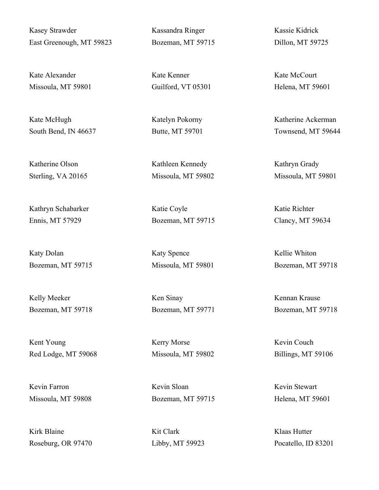Kasey Strawder East Greenough, MT 59823

Kate Alexander Missoula, MT 59801

Kate McHugh South Bend, IN 46637

Katherine Olson Sterling, VA 20165

Kathryn Schabarker Ennis, MT 57929

Katy Dolan Bozeman, MT 59715

Kelly Meeker Bozeman, MT 59718

Kent Young Red Lodge, MT 59068

Kevin Farron Missoula, MT 59808

Kirk Blaine Roseburg, OR 97470 Kassandra Ringer Bozeman, MT 59715

Kate Kenner Guilford, VT 05301

Katelyn Pokorny Butte, MT 59701

Kathleen Kennedy Missoula, MT 59802

Katie Coyle Bozeman, MT 59715

Katy Spence Missoula, MT 59801

Ken Sinay Bozeman, MT 59771

Kerry Morse Missoula, MT 59802

Kevin Sloan Bozeman, MT 59715

Kit Clark Libby, MT 59923 Kassie Kidrick Dillon, MT 59725

Kate McCourt Helena, MT 59601

Katherine Ackerman Townsend, MT 59644

Kathryn Grady Missoula, MT 59801

Katie Richter Clancy, MT 59634

Kellie Whiton Bozeman, MT 59718

Kennan Krause Bozeman, MT 59718

Kevin Couch Billings, MT 59106

Kevin Stewart Helena, MT 59601

Klaas Hutter Pocatello, ID 83201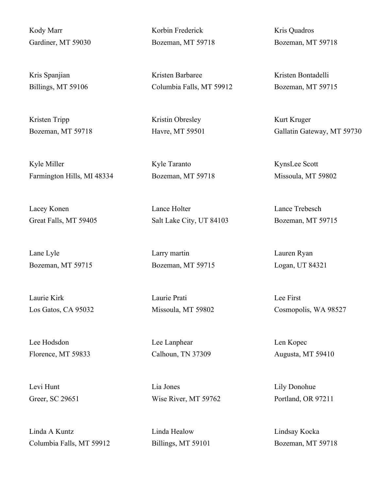Kody Marr Gardiner, MT 59030

Kris Spanjian Billings, MT 59106

Kristen Tripp Bozeman, MT 59718

Kyle Miller Farmington Hills, MI 48334

Lacey Konen Great Falls, MT 59405

Lane Lyle Bozeman, MT 59715

Laurie Kirk Los Gatos, CA 95032

Lee Hodsdon Florence, MT 59833

Levi Hunt Greer, SC 29651

Linda A Kuntz Columbia Falls, MT 59912 Korbin Frederick Bozeman, MT 59718

Kristen Barbaree Columbia Falls, MT 59912

Kristin Obresley Havre, MT 59501

Kyle Taranto Bozeman, MT 59718

Lance Holter Salt Lake City, UT 84103

Larry martin Bozeman, MT 59715

Laurie Prati Missoula, MT 59802

Lee Lanphear Calhoun, TN 37309

Lia Jones Wise River, MT 59762

Linda Healow Billings, MT 59101 Kris Quadros Bozeman, MT 59718

Kristen Bontadelli Bozeman, MT 59715

Kurt Kruger Gallatin Gateway, MT 59730

KynsLee Scott Missoula, MT 59802

Lance Trebesch Bozeman, MT 59715

Lauren Ryan Logan, UT 84321

Lee First Cosmopolis, WA 98527

Len Kopec Augusta, MT 59410

Lily Donohue Portland, OR 97211

Lindsay Kocka Bozeman, MT 59718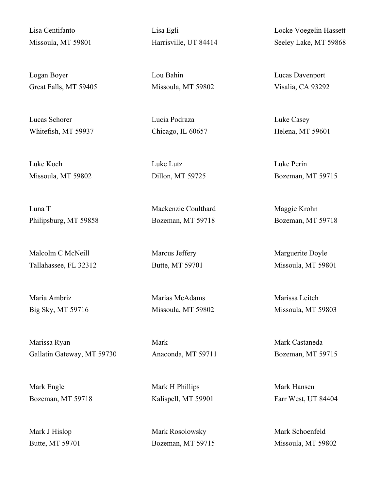Lisa Centifanto Missoula, MT 59801

Logan Boyer Great Falls, MT 59405

Lucas Schorer Whitefish, MT 59937

Luke Koch Missoula, MT 59802

Luna T Philipsburg, MT 59858

Malcolm C McNeill Tallahassee, FL 32312

Maria Ambriz Big Sky, MT 59716

Marissa Ryan Gallatin Gateway, MT 59730

Mark Engle Bozeman, MT 59718

Mark J Hislop Butte, MT 59701 Lisa Egli Harrisville, UT 84414

Lou Bahin Missoula, MT 59802

Lucia Podraza Chicago, IL 60657

Luke Lutz Dillon, MT 59725

Mackenzie Coulthard Bozeman, MT 59718

Marcus Jeffery Butte, MT 59701

Marias McAdams Missoula, MT 59802

Mark Anaconda, MT 59711

Mark H Phillips Kalispell, MT 59901

Mark Rosolowsky Bozeman, MT 59715 Locke Voegelin Hassett Seeley Lake, MT 59868

Lucas Davenport Visalia, CA 93292

Luke Casey Helena, MT 59601

Luke Perin Bozeman, MT 59715

Maggie Krohn Bozeman, MT 59718

Marguerite Doyle Missoula, MT 59801

Marissa Leitch Missoula, MT 59803

Mark Castaneda Bozeman, MT 59715

Mark Hansen Farr West, UT 84404

Mark Schoenfeld Missoula, MT 59802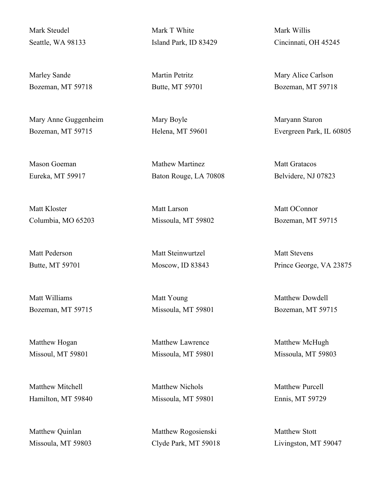Mark Steudel Seattle, WA 98133

Marley Sande Bozeman, MT 59718

Mary Anne Guggenheim Bozeman, MT 59715

Mason Goeman Eureka, MT 59917

Matt Kloster Columbia, MO 65203

Matt Pederson Butte, MT 59701

Matt Williams Bozeman, MT 59715

Matthew Hogan Missoul, MT 59801

Matthew Mitchell Hamilton, MT 59840

Matthew Quinlan Missoula, MT 59803 Mark T White Island Park, ID 83429

Martin Petritz Butte, MT 59701

Mary Boyle Helena, MT 59601

Mathew Martinez Baton Rouge, LA 70808

Matt Larson Missoula, MT 59802

Matt Steinwurtzel Moscow, ID 83843

Matt Young Missoula, MT 59801

Matthew Lawrence Missoula, MT 59801

Matthew Nichols Missoula, MT 59801

Matthew Rogosienski Clyde Park, MT 59018 Mark Willis Cincinnati, OH 45245

Mary Alice Carlson Bozeman, MT 59718

Maryann Staron Evergreen Park, IL 60805

Matt Gratacos Belvidere, NJ 07823

Matt OConnor Bozeman, MT 59715

Matt Stevens Prince George, VA 23875

Matthew Dowdell Bozeman, MT 59715

Matthew McHugh Missoula, MT 59803

Matthew Purcell Ennis, MT 59729

Matthew Stott Livingston, MT 59047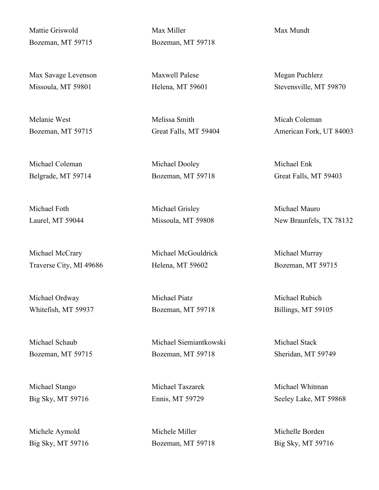Mattie Griswold Bozeman, MT 59715

Max Savage Levenson Missoula, MT 59801

Melanie West Bozeman, MT 59715

Michael Coleman Belgrade, MT 59714

Michael Foth Laurel, MT 59044

Michael McCrary Traverse City, MI 49686

Michael Ordway Whitefish, MT 59937

Michael Schaub Bozeman, MT 59715

Michael Stango Big Sky, MT 59716

Michele Aymold Big Sky, MT 59716 Max Miller Bozeman, MT 59718

Maxwell Palese Helena, MT 59601

Melissa Smith Great Falls, MT 59404

Michael Dooley Bozeman, MT 59718

Michael Grisley Missoula, MT 59808

Michael McGouldrick Helena, MT 59602

Michael Piatz Bozeman, MT 59718

Michael Siemiantkowski Bozeman, MT 59718

Michael Taszarek Ennis, MT 59729

Michele Miller Bozeman, MT 59718 Max Mundt

Megan Puchlerz Stevensville, MT 59870

Micah Coleman American Fork, UT 84003

Michael Enk Great Falls, MT 59403

Michael Mauro New Braunfels, TX 78132

Michael Murray Bozeman, MT 59715

Michael Rubich Billings, MT 59105

Michael Stack Sheridan, MT 59749

Michael Whitman Seeley Lake, MT 59868

Michelle Borden Big Sky, MT 59716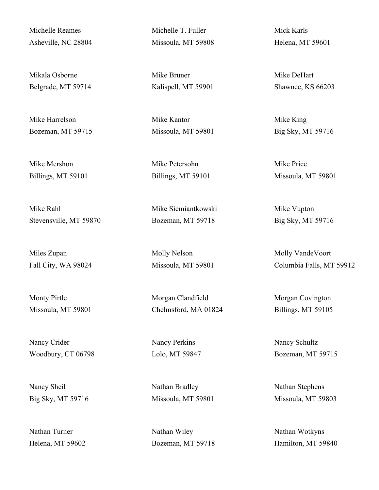Michelle Reames Asheville, NC 28804

Mikala Osborne Belgrade, MT 59714

Mike Harrelson Bozeman, MT 59715

Mike Mershon Billings, MT 59101

Mike Rahl Stevensville, MT 59870

Miles Zupan Fall City, WA 98024

Monty Pirtle Missoula, MT 59801

Nancy Crider Woodbury, CT 06798

Nancy Sheil Big Sky, MT 59716

Nathan Turner Helena, MT 59602 Michelle T. Fuller Missoula, MT 59808

Mike Bruner Kalispell, MT 59901

Mike Kantor Missoula, MT 59801

Mike Petersohn Billings, MT 59101

Mike Siemiantkowski Bozeman, MT 59718

Molly Nelson Missoula, MT 59801

Morgan Clandfield Chelmsford, MA 01824

Nancy Perkins Lolo, MT 59847

Nathan Bradley Missoula, MT 59801

Nathan Wiley Bozeman, MT 59718 Mick Karls Helena, MT 59601

Mike DeHart Shawnee, KS 66203

Mike King Big Sky, MT 59716

Mike Price Missoula, MT 59801

Mike Vupton Big Sky, MT 59716

Molly VandeVoort Columbia Falls, MT 59912

Morgan Covington Billings, MT 59105

Nancy Schultz Bozeman, MT 59715

Nathan Stephens Missoula, MT 59803

Nathan Wotkyns Hamilton, MT 59840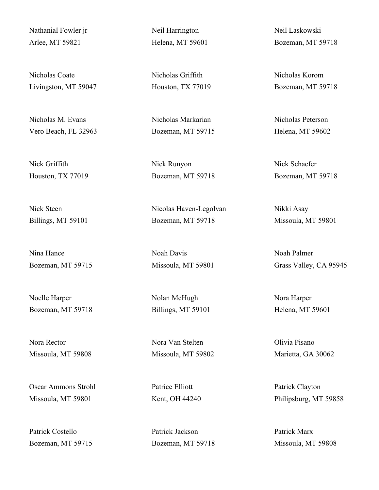Nathanial Fowler jr Arlee, MT 59821

Nicholas Coate Livingston, MT 59047

Nicholas M. Evans Vero Beach, FL 32963

Nick Griffith Houston, TX 77019

Nick Steen Billings, MT 59101

Nina Hance Bozeman, MT 59715

Noelle Harper Bozeman, MT 59718

Nora Rector Missoula, MT 59808

Oscar Ammons Strohl Missoula, MT 59801

Patrick Costello Bozeman, MT 59715 Neil Harrington Helena, MT 59601

Nicholas Griffith Houston, TX 77019

Nicholas Markarian Bozeman, MT 59715

Nick Runyon Bozeman, MT 59718

Nicolas Haven-Legolvan Bozeman, MT 59718

Noah Davis Missoula, MT 59801

Nolan McHugh Billings, MT 59101

Nora Van Stelten Missoula, MT 59802

Patrice Elliott Kent, OH 44240

Patrick Jackson Bozeman, MT 59718 Neil Laskowski Bozeman, MT 59718

Nicholas Korom Bozeman, MT 59718

Nicholas Peterson Helena, MT 59602

Nick Schaefer Bozeman, MT 59718

Nikki Asay Missoula, MT 59801

Noah Palmer Grass Valley, CA 95945

Nora Harper Helena, MT 59601

Olivia Pisano Marietta, GA 30062

Patrick Clayton Philipsburg, MT 59858

Patrick Marx Missoula, MT 59808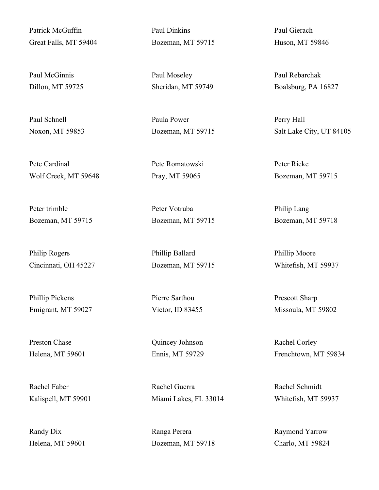Patrick McGuffin Great Falls, MT 59404

Paul McGinnis Dillon, MT 59725

Paul Schnell Noxon, MT 59853

Pete Cardinal Wolf Creek, MT 59648

Peter trimble Bozeman, MT 59715

Philip Rogers Cincinnati, OH 45227

Phillip Pickens Emigrant, MT 59027

Preston Chase Helena, MT 59601

Rachel Faber Kalispell, MT 59901

Randy Dix Helena, MT 59601 Paul Dinkins Bozeman, MT 59715

Paul Moseley Sheridan, MT 59749

Paula Power Bozeman, MT 59715

Pete Romatowski Pray, MT 59065

Peter Votruba Bozeman, MT 59715

Phillip Ballard Bozeman, MT 59715

Pierre Sarthou Victor, ID 83455

Quincey Johnson Ennis, MT 59729

Rachel Guerra Miami Lakes, FL 33014

Ranga Perera Bozeman, MT 59718 Paul Gierach Huson, MT 59846

Paul Rebarchak Boalsburg, PA 16827

Perry Hall Salt Lake City, UT 84105

Peter Rieke Bozeman, MT 59715

Philip Lang Bozeman, MT 59718

Phillip Moore Whitefish, MT 59937

Prescott Sharp Missoula, MT 59802

Rachel Corley Frenchtown, MT 59834

Rachel Schmidt Whitefish, MT 59937

Raymond Yarrow Charlo, MT 59824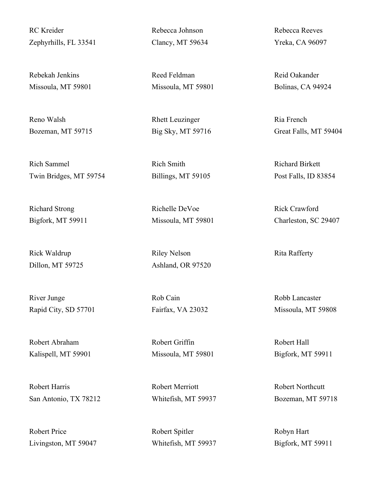RC Kreider Zephyrhills, FL 33541

Rebekah Jenkins Missoula, MT 59801

Reno Walsh Bozeman, MT 59715

Rich Sammel Twin Bridges, MT 59754

Richard Strong Bigfork, MT 59911

Rick Waldrup Dillon, MT 59725

River Junge Rapid City, SD 57701

Robert Abraham Kalispell, MT 59901

Robert Harris San Antonio, TX 78212

Robert Price Livingston, MT 59047 Rebecca Johnson Clancy, MT 59634

Reed Feldman Missoula, MT 59801

Rhett Leuzinger Big Sky, MT 59716

Rich Smith Billings, MT 59105

Richelle DeVoe Missoula, MT 59801

Riley Nelson Ashland, OR 97520

Rob Cain Fairfax, VA 23032

Robert Griffin Missoula, MT 59801

Robert Merriott Whitefish, MT 59937

Robert Spitler Whitefish, MT 59937 Rebecca Reeves Yreka, CA 96097

Reid Oakander Bolinas, CA 94924

Ria French Great Falls, MT 59404

Richard Birkett Post Falls, ID 83854

Rick Crawford Charleston, SC 29407

Rita Rafferty

Robb Lancaster Missoula, MT 59808

Robert Hall Bigfork, MT 59911

Robert Northcutt Bozeman, MT 59718

Robyn Hart Bigfork, MT 59911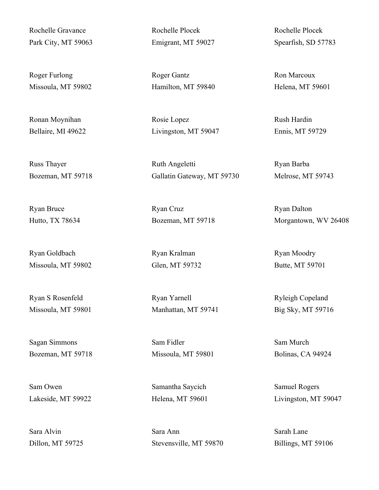Rochelle Gravance Park City, MT 59063

Roger Furlong Missoula, MT 59802

Ronan Moynihan Bellaire, MI 49622

Russ Thayer Bozeman, MT 59718

Ryan Bruce Hutto, TX 78634

Ryan Goldbach Missoula, MT 59802

Ryan S Rosenfeld Missoula, MT 59801

Sagan Simmons Bozeman, MT 59718

Sam Owen Lakeside, MT 59922

Sara Alvin Dillon, MT 59725 Rochelle Plocek Emigrant, MT 59027

Roger Gantz Hamilton, MT 59840

Rosie Lopez Livingston, MT 59047

Ruth Angeletti Gallatin Gateway, MT 59730

Ryan Cruz Bozeman, MT 59718

Ryan Kralman Glen, MT 59732

Ryan Yarnell Manhattan, MT 59741

Sam Fidler Missoula, MT 59801

Samantha Saycich Helena, MT 59601

Sara Ann Stevensville, MT 59870 Rochelle Plocek Spearfish, SD 57783

Ron Marcoux Helena, MT 59601

Rush Hardin Ennis, MT 59729

Ryan Barba Melrose, MT 59743

Ryan Dalton Morgantown, WV 26408

Ryan Moodry Butte, MT 59701

Ryleigh Copeland Big Sky, MT 59716

Sam Murch Bolinas, CA 94924

Samuel Rogers Livingston, MT 59047

Sarah Lane Billings, MT 59106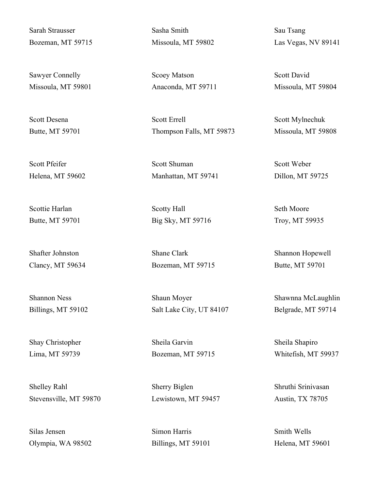Sarah Strausser Bozeman, MT 59715

Sawyer Connelly Missoula, MT 59801

Scott Desena Butte, MT 59701

Scott Pfeifer Helena, MT 59602

Scottie Harlan Butte, MT 59701

Shafter Johnston Clancy, MT 59634

Shannon Ness Billings, MT 59102

Shay Christopher Lima, MT 59739

Shelley Rahl Stevensville, MT 59870

Silas Jensen Olympia, WA 98502 Sasha Smith Missoula, MT 59802

Scoey Matson Anaconda, MT 59711

Scott Errell Thompson Falls, MT 59873

Scott Shuman Manhattan, MT 59741

Scotty Hall Big Sky, MT 59716

Shane Clark Bozeman, MT 59715

Shaun Moyer Salt Lake City, UT 84107

Sheila Garvin Bozeman, MT 59715

Sherry Biglen Lewistown, MT 59457

Simon Harris Billings, MT 59101 Sau Tsang Las Vegas, NV 89141

Scott David Missoula, MT 59804

Scott Mylnechuk Missoula, MT 59808

Scott Weber Dillon, MT 59725

Seth Moore Troy, MT 59935

Shannon Hopewell Butte, MT 59701

Shawnna McLaughlin Belgrade, MT 59714

Sheila Shapiro Whitefish, MT 59937

Shruthi Srinivasan Austin, TX 78705

Smith Wells Helena, MT 59601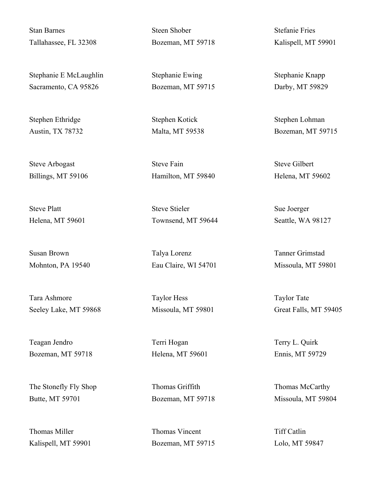Stan Barnes Tallahassee, FL 32308

Stephanie E McLaughlin Sacramento, CA 95826

Stephen Ethridge Austin, TX 78732

Steve Arbogast Billings, MT 59106

Steve Platt Helena, MT 59601

Susan Brown Mohnton, PA 19540

Tara Ashmore Seeley Lake, MT 59868

Teagan Jendro Bozeman, MT 59718

The Stonefly Fly Shop Butte, MT 59701

Thomas Miller Kalispell, MT 59901 Steen Shober Bozeman, MT 59718

Stephanie Ewing Bozeman, MT 59715

Stephen Kotick Malta, MT 59538

Steve Fain Hamilton, MT 59840

Steve Stieler Townsend, MT 59644

Talya Lorenz Eau Claire, WI 54701

Taylor Hess Missoula, MT 59801

Terri Hogan Helena, MT 59601

Thomas Griffith Bozeman, MT 59718

Thomas Vincent Bozeman, MT 59715 Stefanie Fries Kalispell, MT 59901

Stephanie Knapp Darby, MT 59829

Stephen Lohman Bozeman, MT 59715

Steve Gilbert Helena, MT 59602

Sue Joerger Seattle, WA 98127

Tanner Grimstad Missoula, MT 59801

Taylor Tate Great Falls, MT 59405

Terry L. Quirk Ennis, MT 59729

Thomas McCarthy Missoula, MT 59804

Tiff Catlin Lolo, MT 59847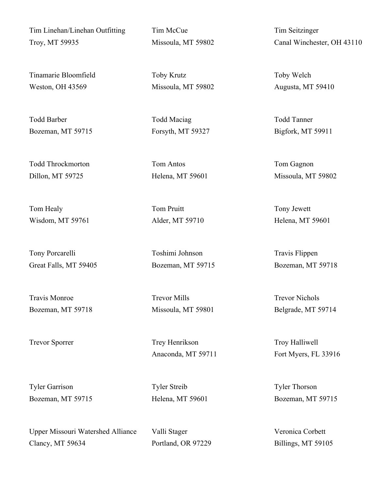Tim Linehan/Linehan Outfitting Troy, MT 59935

Tinamarie Bloomfield Weston, OH 43569

Todd Barber Bozeman, MT 59715

Todd Throckmorton Dillon, MT 59725

Tom Healy Wisdom, MT 59761

Tony Porcarelli Great Falls, MT 59405

Travis Monroe Bozeman, MT 59718

Tyler Garrison Bozeman, MT 59715

Upper Missouri Watershed Alliance Clancy, MT 59634

Tim McCue Missoula, MT 59802

Toby Krutz Missoula, MT 59802

Todd Maciag Forsyth, MT 59327

Tom Antos Helena, MT 59601

Tom Pruitt Alder, MT 59710

Toshimi Johnson Bozeman, MT 59715

Trevor Mills Missoula, MT 59801

Trevor Sporrer Trey Henrikson Anaconda, MT 59711

> Tyler Streib Helena, MT 59601

Valli Stager Portland, OR 97229 Tim Seitzinger Canal Winchester, OH 43110

Toby Welch Augusta, MT 59410

Todd Tanner Bigfork, MT 59911

Tom Gagnon Missoula, MT 59802

Tony Jewett Helena, MT 59601

Travis Flippen Bozeman, MT 59718

Trevor Nichols Belgrade, MT 59714

Troy Halliwell Fort Myers, FL 33916

Tyler Thorson Bozeman, MT 59715

Veronica Corbett Billings, MT 59105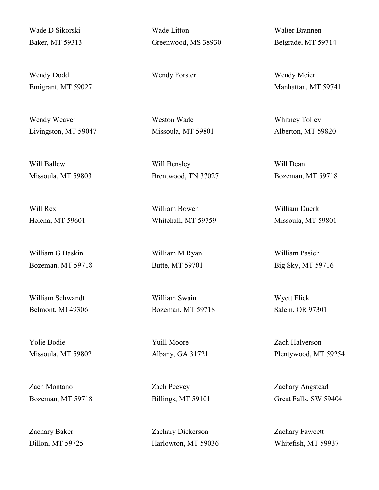Wade D Sikorski Baker, MT 59313

Wendy Dodd Emigrant, MT 59027

Wendy Weaver Livingston, MT 59047

Will Ballew Missoula, MT 59803

Will Rex Helena, MT 59601

William G Baskin Bozeman, MT 59718

William Schwandt Belmont, MI 49306

Yolie Bodie Missoula, MT 59802

Zach Montano Bozeman, MT 59718

Zachary Baker Dillon, MT 59725 Wade Litton Greenwood, MS 38930

Weston Wade Missoula, MT 59801

Will Bensley Brentwood, TN 37027

William Bowen Whitehall, MT 59759

William M Ryan Butte, MT 59701

William Swain Bozeman, MT 59718

Yuill Moore Albany, GA 31721

Zach Peevey Billings, MT 59101

Zachary Dickerson Harlowton, MT 59036 Walter Brannen Belgrade, MT 59714

Wendy Forster Wendy Meier Manhattan, MT 59741

> Whitney Tolley Alberton, MT 59820

Will Dean Bozeman, MT 59718

William Duerk Missoula, MT 59801

William Pasich Big Sky, MT 59716

Wyett Flick Salem, OR 97301

Zach Halverson Plentywood, MT 59254

Zachary Angstead Great Falls, SW 59404

Zachary Fawcett Whitefish, MT 59937